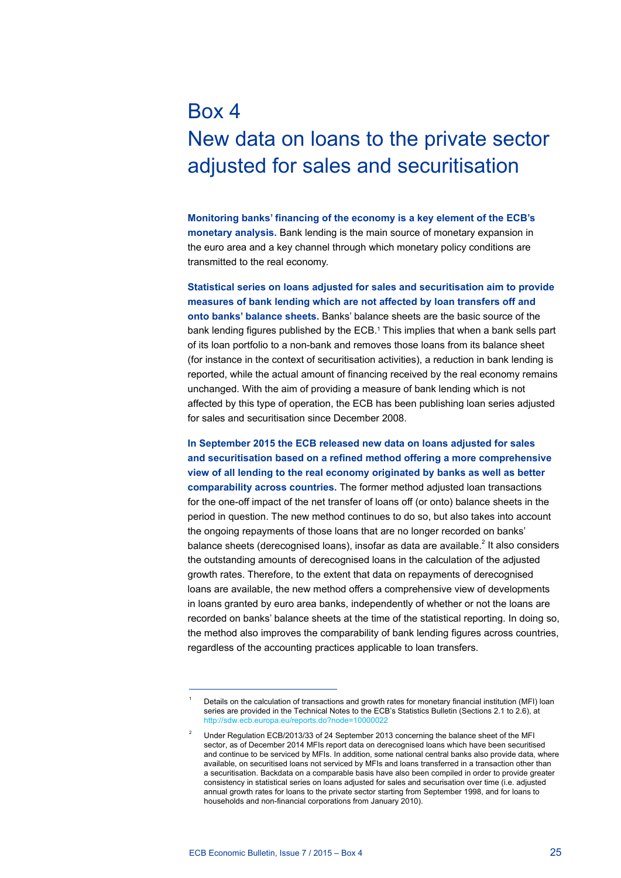# Box 4 New data on loans to the private sector adjusted for sales and securitisation

**Monitoring banks' financing of the economy is a key element of the ECB's monetary analysis.** Bank lending is the main source of monetary expansion in the euro area and a key channel through which monetary policy conditions are transmitted to the real economy.

**Statistical series on loans adjusted for sales and securitisation aim to provide measures of bank lending which are not affected by loan transfers off and onto banks' balance sheets.** Banks' balance sheets are the basic source of the bank lending figures published by the ECB.1 This implies that when a bank sells part of its loan portfolio to a non-bank and removes those loans from its balance sheet (for instance in the context of securitisation activities), a reduction in bank lending is reported, while the actual amount of financing received by the real economy remains unchanged. With the aim of providing a measure of bank lending which is not affected by this type of operation, the ECB has been publishing loan series adjusted for sales and securitisation since December 2008.

**In September 2015 the ECB released new data on loans adjusted for sales and securitisation based on a refined method offering a more comprehensive view of all lending to the real economy originated by banks as well as better comparability across countries.** The former method adjusted loan transactions for the one-off impact of the net transfer of loans off (or onto) balance sheets in the period in question. The new method continues to do so, but also takes into account the ongoing repayments of those loans that are no longer recorded on banks' balance sheets (derecognised loans), insofar as data are available.<sup>2</sup> It also considers the outstanding amounts of derecognised loans in the calculation of the adjusted growth rates. Therefore, to the extent that data on repayments of derecognised loans are available, the new method offers a comprehensive view of developments in loans granted by euro area banks, independently of whether or not the loans are recorded on banks' balance sheets at the time of the statistical reporting. In doing so, the method also improves the comparability of bank lending figures across countries, regardless of the accounting practices applicable to loan transfers.

Details on the calculation of transactions and growth rates for monetary financial institution (MFI) loan series are provided in the Technical Notes to the ECB's Statistics Bulletin (Sections 2.1 to 2.6), at http://sdw.ecb.europa.eu/reports.do?node=1000002

<sup>2</sup> Under Regulation ECB/2013/33 of 24 September 2013 concerning the balance sheet of the MFI sector, as of December 2014 MFIs report data on derecognised loans which have been securitised and continue to be serviced by MFIs. In addition, some national central banks also provide data, where available, on securitised loans not serviced by MFIs and loans transferred in a transaction other than a securitisation. Backdata on a comparable basis have also been compiled in order to provide greater consistency in statistical series on loans adjusted for sales and securisation over time (i.e. adjusted annual growth rates for loans to the private sector starting from September 1998, and for loans to households and non-financial corporations from January 2010).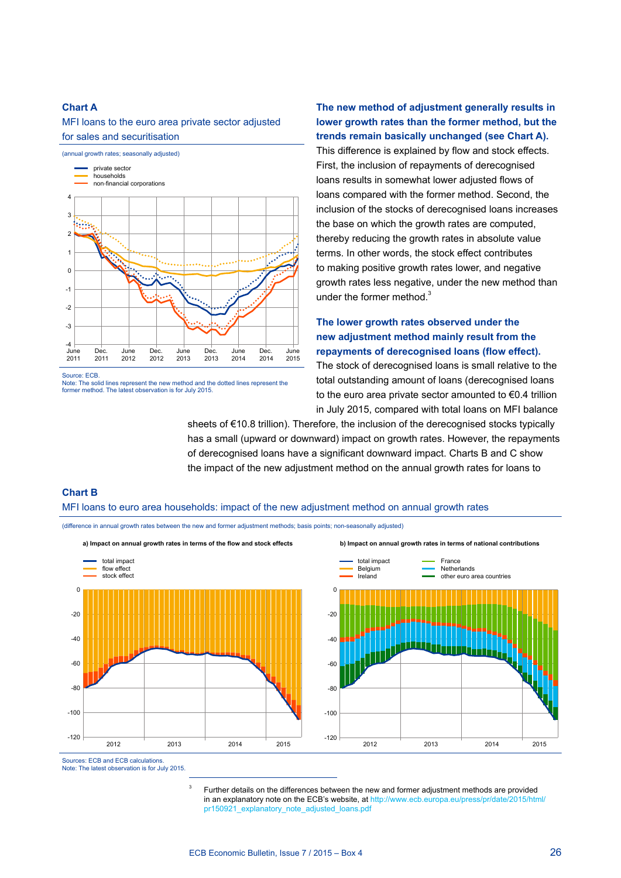### **Chart A**

MFI loans to the euro area private sector adjusted for sales and securitisation



Source: ECB.

Note: The solid lines represent the new method and the dotted lines represent the former method. The latest observation is for July 2015.

**The new method of adjustment generally results in lower growth rates than the former method, but the trends remain basically unchanged (see Chart A).** This difference is explained by flow and stock effects. First, the inclusion of repayments of derecognised loans results in somewhat lower adjusted flows of loans compared with the former method. Second, the inclusion of the stocks of derecognised loans increases the base on which the growth rates are computed, thereby reducing the growth rates in absolute value terms. In other words, the stock effect contributes to making positive growth rates lower, and negative growth rates less negative, under the new method than under the former method. $3$ 

# **The lower growth rates observed under the new adjustment method mainly result from the repayments of derecognised loans (flow effect).**

The stock of derecognised loans is small relative to the total outstanding amount of loans (derecognised loans to the euro area private sector amounted to €0.4 trillion in July 2015, compared with total loans on MFI balance

sheets of €10.8 trillion). Therefore, the inclusion of the derecognised stocks typically has a small (upward or downward) impact on growth rates. However, the repayments of derecognised loans have a significant downward impact. Charts B and C show the impact of the new adjustment method on the annual growth rates for loans to

# **Chart B**

#### MFI loans to euro area households: impact of the new adjustment method on annual growth rates

(difference in annual growth rates between the new and former adjustment methods; basis points; non-seasonally adjusted)



Sources: ECB and ECB calculations. Note: The latest observation is for July 2015.

> <sup>3</sup> Further details on the differences between the new and former adjustment methods are provided in an [explanatory note](http://www.ecb.europa.eu/press/pr/date/2015/html/pr150921_explanatory_note_adjusted_loans.pdf?9d3f74114040ed1a0b7e3add21fdb57d) on the ECB's website, at [http://www.ecb.europa.eu/press/pr/date/2015/html/](http://www.ecb.europa.eu/press/pr/date/2015/html/pr150921_explanatory_note_adjusted_loans.pdf) [pr150921\\_explanatory\\_note\\_adjusted\\_loans.pdf](http://www.ecb.europa.eu/press/pr/date/2015/html/pr150921_explanatory_note_adjusted_loans.pdf)